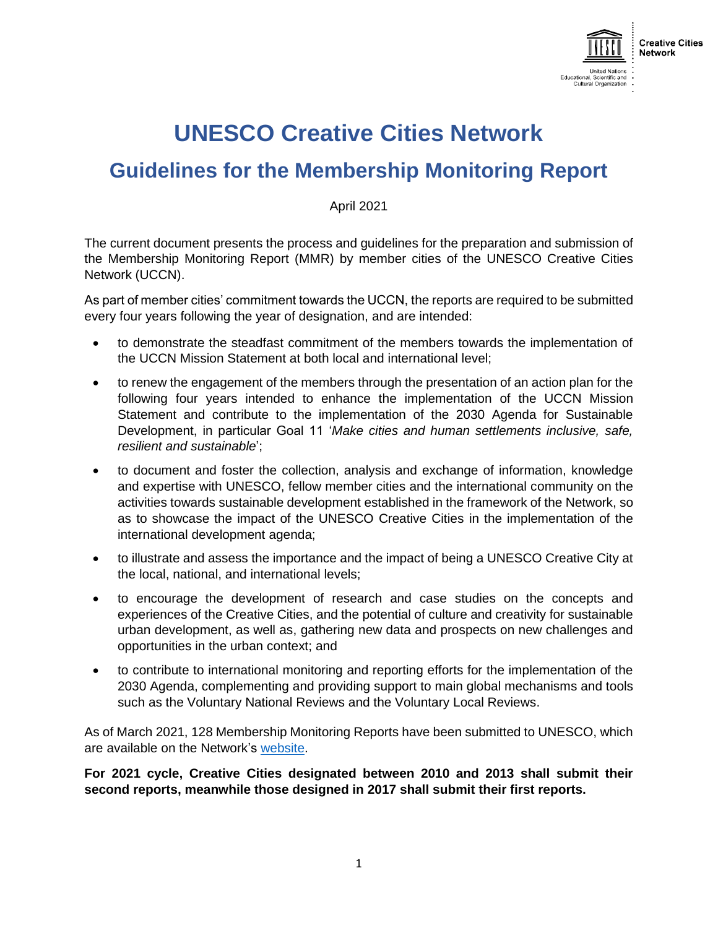

# **UNESCO Creative Cities Network**

## **Guidelines for the Membership Monitoring Report**

April 2021

The current document presents the process and guidelines for the preparation and submission of the Membership Monitoring Report (MMR) by member cities of the UNESCO Creative Cities Network (UCCN).

As part of member cities' commitment towards the UCCN, the reports are required to be submitted every four years following the year of designation, and are intended:

- to demonstrate the steadfast commitment of the members towards the implementation of the UCCN Mission Statement at both local and international level;
- to renew the engagement of the members through the presentation of an action plan for the following four years intended to enhance the implementation of the UCCN Mission Statement and contribute to the implementation of the 2030 Agenda for Sustainable Development, in particular Goal 11 '*Make cities and human settlements inclusive, safe, resilient and sustainable*';
- to document and foster the collection, analysis and exchange of information, knowledge and expertise with UNESCO, fellow member cities and the international community on the activities towards sustainable development established in the framework of the Network, so as to showcase the impact of the UNESCO Creative Cities in the implementation of the international development agenda;
- to illustrate and assess the importance and the impact of being a UNESCO Creative City at the local, national, and international levels;
- to encourage the development of research and case studies on the concepts and experiences of the Creative Cities, and the potential of culture and creativity for sustainable urban development, as well as, gathering new data and prospects on new challenges and opportunities in the urban context; and
- to contribute to international monitoring and reporting efforts for the implementation of the 2030 Agenda, complementing and providing support to main global mechanisms and tools such as the Voluntary National Reviews and the Voluntary Local Reviews.

As of March 2021, 128 Membership Monitoring Reports have been submitted to UNESCO, which are available on the Network's [website.](https://en.unesco.org/creative-cities/content/reporting-monitoring)

**For 2021 cycle, Creative Cities designated between 2010 and 2013 shall submit their second reports, meanwhile those designed in 2017 shall submit their first reports.**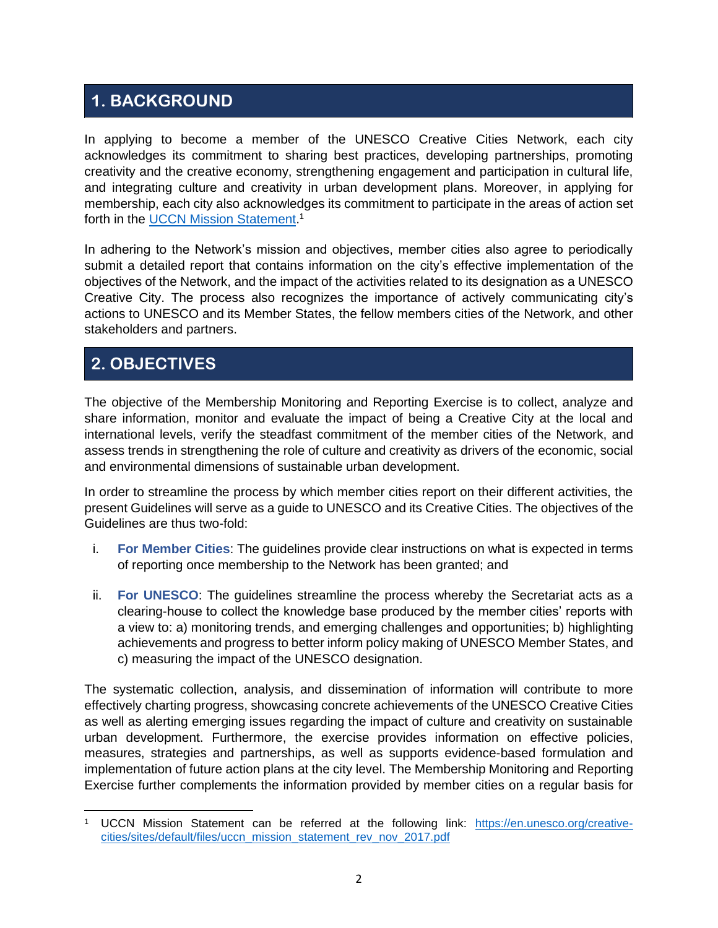### **1. BACKGROUND**

In applying to become a member of the UNESCO Creative Cities Network, each city acknowledges its commitment to sharing best practices, developing partnerships, promoting creativity and the creative economy, strengthening engagement and participation in cultural life, and integrating culture and creativity in urban development plans. Moreover, in applying for membership, each city also acknowledges its commitment to participate in the areas of action set forth in the [UCCN Mission Statement.](https://en.unesco.org/creative-cities/sites/default/files/uccn_mission_statement_rev_nov_2017.pdf)<sup>1</sup>

In adhering to the Network's mission and objectives, member cities also agree to periodically submit a detailed report that contains information on the city's effective implementation of the objectives of the Network, and the impact of the activities related to its designation as a UNESCO Creative City. The process also recognizes the importance of actively communicating city's actions to UNESCO and its Member States, the fellow members cities of the Network, and other stakeholders and partners.

### **2. OBJECTIVES**

The objective of the Membership Monitoring and Reporting Exercise is to collect, analyze and share information, monitor and evaluate the impact of being a Creative City at the local and international levels, verify the steadfast commitment of the member cities of the Network, and assess trends in strengthening the role of culture and creativity as drivers of the economic, social and environmental dimensions of sustainable urban development.

In order to streamline the process by which member cities report on their different activities, the present Guidelines will serve as a guide to UNESCO and its Creative Cities. The objectives of the Guidelines are thus two-fold:

- i. **For Member Cities**: The guidelines provide clear instructions on what is expected in terms of reporting once membership to the Network has been granted; and
- ii. **For UNESCO**: The guidelines streamline the process whereby the Secretariat acts as a clearing-house to collect the knowledge base produced by the member cities' reports with a view to: a) monitoring trends, and emerging challenges and opportunities; b) highlighting achievements and progress to better inform policy making of UNESCO Member States, and c) measuring the impact of the UNESCO designation.

The systematic collection, analysis, and dissemination of information will contribute to more effectively charting progress, showcasing concrete achievements of the UNESCO Creative Cities as well as alerting emerging issues regarding the impact of culture and creativity on sustainable urban development. Furthermore, the exercise provides information on effective policies, measures, strategies and partnerships, as well as supports evidence-based formulation and implementation of future action plans at the city level. The Membership Monitoring and Reporting Exercise further complements the information provided by member cities on a regular basis for

<sup>1</sup> UCCN Mission Statement can be referred at the following link: [https://en.unesco.org/creative](https://en.unesco.org/creative-cities/sites/default/files/uccn_mission_statement_rev_nov_2017.pdf)[cities/sites/default/files/uccn\\_mission\\_statement\\_rev\\_nov\\_2017.pdf](https://en.unesco.org/creative-cities/sites/default/files/uccn_mission_statement_rev_nov_2017.pdf)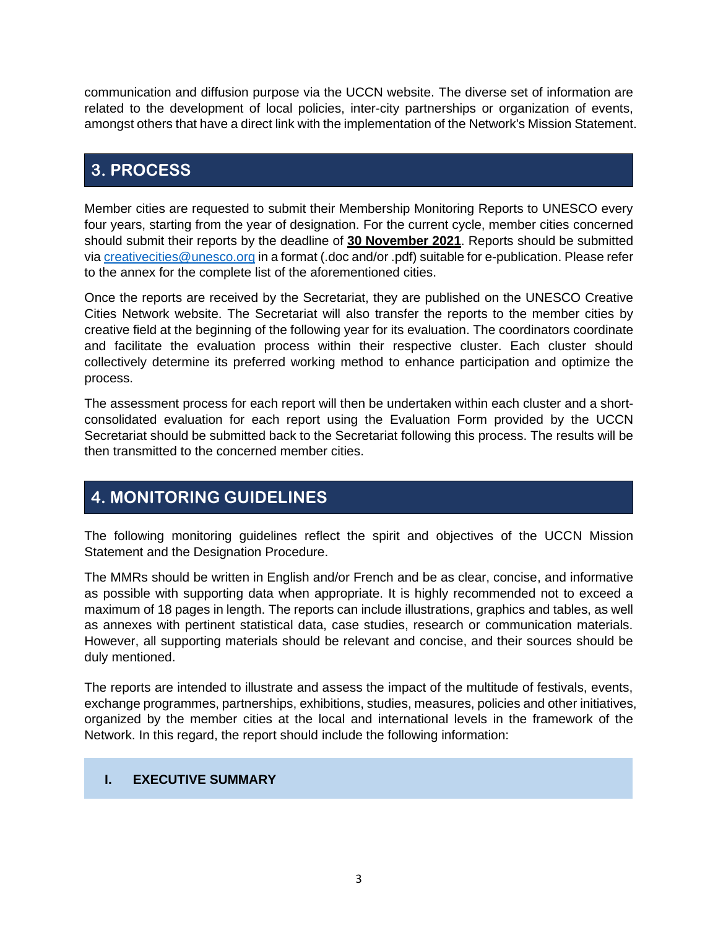communication and diffusion purpose via the UCCN website. The diverse set of information are related to the development of local policies, inter-city partnerships or organization of events, amongst others that have a direct link with the implementation of the Network's Mission Statement.

### **3. PROCESS**

Member cities are requested to submit their Membership Monitoring Reports to UNESCO every four years, starting from the year of designation. For the current cycle, member cities concerned should submit their reports by the deadline of **30 November 2021**. Reports should be submitted vi[a creativecities@unesco.org](mailto:creativecities@unesco.org) in a format (.doc and/or .pdf) suitable for e-publication. Please refer to the annex for the complete list of the aforementioned cities.

Once the reports are received by the Secretariat, they are published on the UNESCO Creative Cities Network website. The Secretariat will also transfer the reports to the member cities by creative field at the beginning of the following year for its evaluation. The coordinators coordinate and facilitate the evaluation process within their respective cluster. Each cluster should collectively determine its preferred working method to enhance participation and optimize the process.

The assessment process for each report will then be undertaken within each cluster and a shortconsolidated evaluation for each report using the Evaluation Form provided by the UCCN Secretariat should be submitted back to the Secretariat following this process. The results will be then transmitted to the concerned member cities.

### **4. MONITORING GUIDELINES**

The following monitoring guidelines reflect the spirit and objectives of the UCCN Mission Statement and the Designation Procedure.

The MMRs should be written in English and/or French and be as clear, concise, and informative as possible with supporting data when appropriate. It is highly recommended not to exceed a maximum of 18 pages in length. The reports can include illustrations, graphics and tables, as well as annexes with pertinent statistical data, case studies, research or communication materials. However, all supporting materials should be relevant and concise, and their sources should be duly mentioned.

The reports are intended to illustrate and assess the impact of the multitude of festivals, events, exchange programmes, partnerships, exhibitions, studies, measures, policies and other initiatives, organized by the member cities at the local and international levels in the framework of the Network. In this regard, the report should include the following information:

#### **I. EXECUTIVE SUMMARY**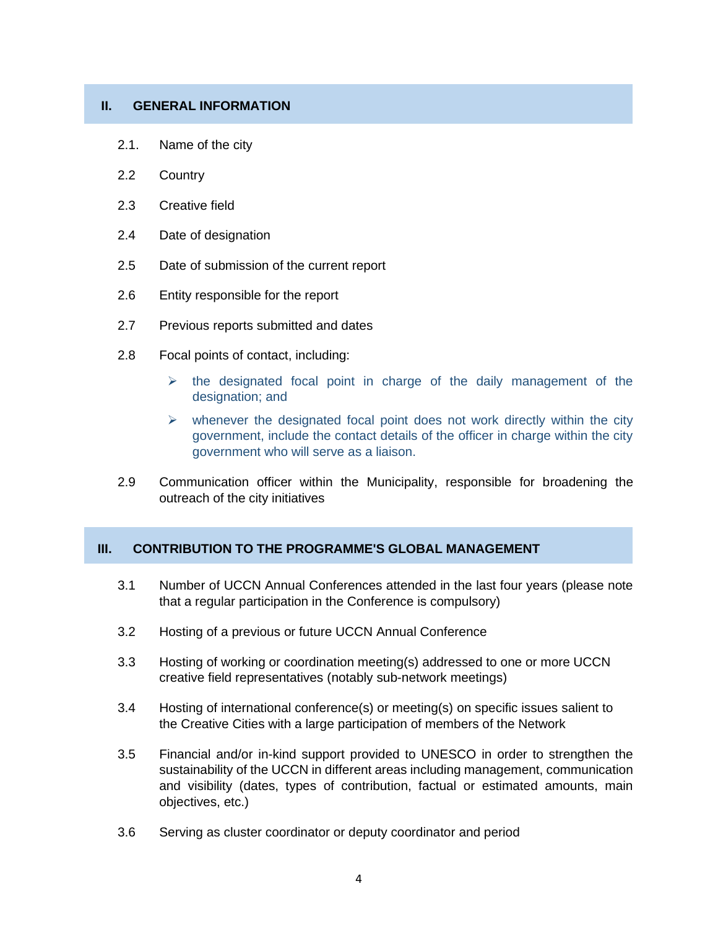#### **II. GENERAL INFORMATION**

- 2.1. Name of the city
- 2.2 Country
- 2.3 Creative field
- 2.4 Date of designation
- 2.5 Date of submission of the current report
- 2.6 Entity responsible for the report
- 2.7 Previous reports submitted and dates
- 2.8 Focal points of contact, including:
	- $\triangleright$  the designated focal point in charge of the daily management of the designation; and
	- $\triangleright$  whenever the designated focal point does not work directly within the city government, include the contact details of the officer in charge within the city government who will serve as a liaison.
- 2.9 Communication officer within the Municipality, responsible for broadening the outreach of the city initiatives

#### **III. CONTRIBUTION TO THE PROGRAMME'S GLOBAL MANAGEMENT**

- 3.1 Number of UCCN Annual Conferences attended in the last four years (please note that a regular participation in the Conference is compulsory)
- 3.2 Hosting of a previous or future UCCN Annual Conference
- 3.3 Hosting of working or coordination meeting(s) addressed to one or more UCCN creative field representatives (notably sub-network meetings)
- 3.4 Hosting of international conference(s) or meeting(s) on specific issues salient to the Creative Cities with a large participation of members of the Network
- 3.5 Financial and/or in-kind support provided to UNESCO in order to strengthen the sustainability of the UCCN in different areas including management, communication and visibility (dates, types of contribution, factual or estimated amounts, main objectives, etc.)
- 3.6 Serving as cluster coordinator or deputy coordinator and period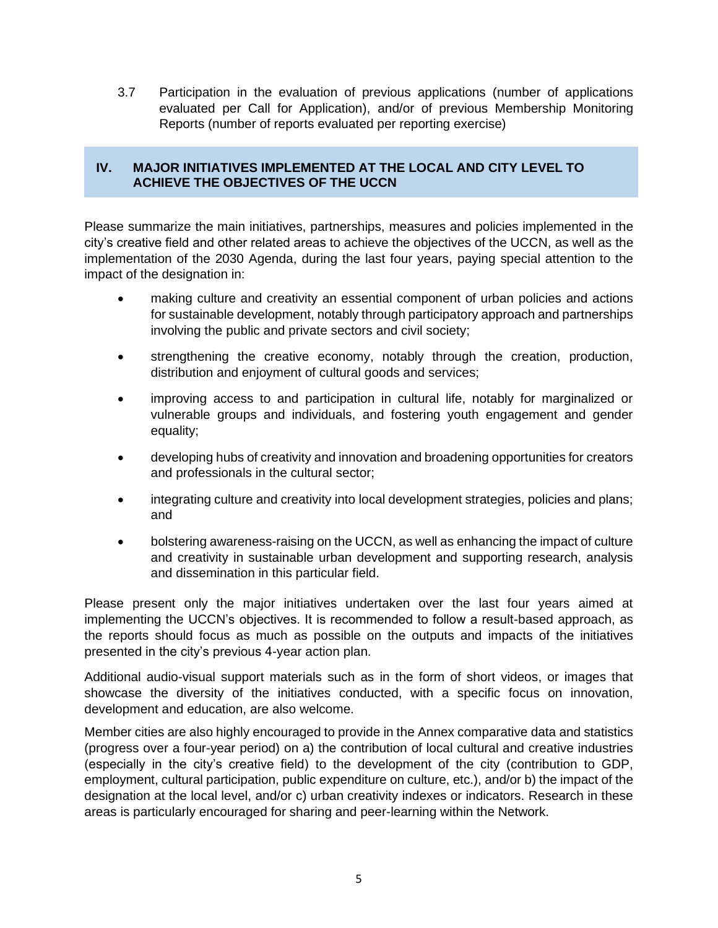3.7 Participation in the evaluation of previous applications (number of applications evaluated per Call for Application), and/or of previous Membership Monitoring Reports (number of reports evaluated per reporting exercise)

#### **IV. MAJOR INITIATIVES IMPLEMENTED AT THE LOCAL AND CITY LEVEL TO ACHIEVE THE OBJECTIVES OF THE UCCN**

Please summarize the main initiatives, partnerships, measures and policies implemented in the city's creative field and other related areas to achieve the objectives of the UCCN, as well as the implementation of the 2030 Agenda, during the last four years, paying special attention to the impact of the designation in:

- making culture and creativity an essential component of urban policies and actions for sustainable development, notably through participatory approach and partnerships involving the public and private sectors and civil society;
- strengthening the creative economy, notably through the creation, production, distribution and enjoyment of cultural goods and services;
- improving access to and participation in cultural life, notably for marginalized or vulnerable groups and individuals, and fostering youth engagement and gender equality;
- developing hubs of creativity and innovation and broadening opportunities for creators and professionals in the cultural sector;
- integrating culture and creativity into local development strategies, policies and plans; and
- bolstering awareness-raising on the UCCN, as well as enhancing the impact of culture and creativity in sustainable urban development and supporting research, analysis and dissemination in this particular field.

Please present only the major initiatives undertaken over the last four years aimed at implementing the UCCN's objectives. It is recommended to follow a result-based approach, as the reports should focus as much as possible on the outputs and impacts of the initiatives presented in the city's previous 4-year action plan.

Additional audio-visual support materials such as in the form of short videos, or images that showcase the diversity of the initiatives conducted, with a specific focus on innovation, development and education, are also welcome.

Member cities are also highly encouraged to provide in the Annex comparative data and statistics (progress over a four-year period) on a) the contribution of local cultural and creative industries (especially in the city's creative field) to the development of the city (contribution to GDP, employment, cultural participation, public expenditure on culture, etc.), and/or b) the impact of the designation at the local level, and/or c) urban creativity indexes or indicators. Research in these areas is particularly encouraged for sharing and peer-learning within the Network.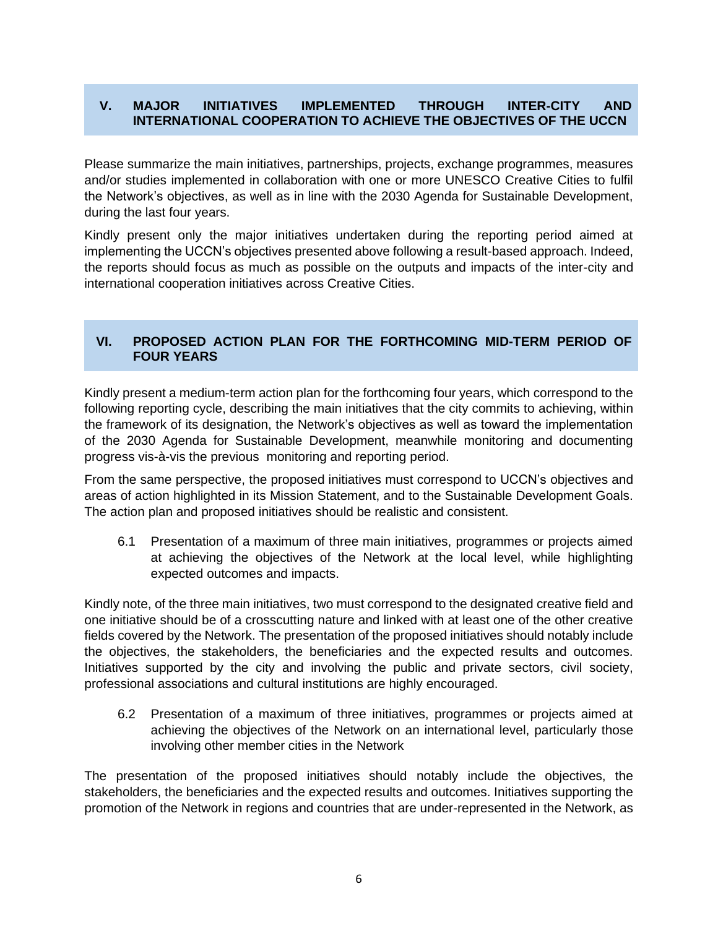#### **V. MAJOR INITIATIVES IMPLEMENTED THROUGH INTER-CITY AND INTERNATIONAL COOPERATION TO ACHIEVE THE OBJECTIVES OF THE UCCN**

Please summarize the main initiatives, partnerships, projects, exchange programmes, measures and/or studies implemented in collaboration with one or more UNESCO Creative Cities to fulfil the Network's objectives, as well as in line with the 2030 Agenda for Sustainable Development, during the last four years.

Kindly present only the major initiatives undertaken during the reporting period aimed at implementing the UCCN's objectives presented above following a result-based approach. Indeed, the reports should focus as much as possible on the outputs and impacts of the inter-city and international cooperation initiatives across Creative Cities.

#### **VI. PROPOSED ACTION PLAN FOR THE FORTHCOMING MID-TERM PERIOD OF FOUR YEARS**

Kindly present a medium-term action plan for the forthcoming four years, which correspond to the following reporting cycle, describing the main initiatives that the city commits to achieving, within the framework of its designation, the Network's objectives as well as toward the implementation of the 2030 Agenda for Sustainable Development, meanwhile monitoring and documenting progress vis-à-vis the previous monitoring and reporting period.

From the same perspective, the proposed initiatives must correspond to UCCN's objectives and areas of action highlighted in its Mission Statement, and to the Sustainable Development Goals. The action plan and proposed initiatives should be realistic and consistent.

6.1 Presentation of a maximum of three main initiatives, programmes or projects aimed at achieving the objectives of the Network at the local level, while highlighting expected outcomes and impacts.

Kindly note, of the three main initiatives, two must correspond to the designated creative field and one initiative should be of a crosscutting nature and linked with at least one of the other creative fields covered by the Network. The presentation of the proposed initiatives should notably include the objectives, the stakeholders, the beneficiaries and the expected results and outcomes. Initiatives supported by the city and involving the public and private sectors, civil society, professional associations and cultural institutions are highly encouraged.

6.2 Presentation of a maximum of three initiatives, programmes or projects aimed at achieving the objectives of the Network on an international level, particularly those involving other member cities in the Network

The presentation of the proposed initiatives should notably include the objectives, the stakeholders, the beneficiaries and the expected results and outcomes. Initiatives supporting the promotion of the Network in regions and countries that are under-represented in the Network, as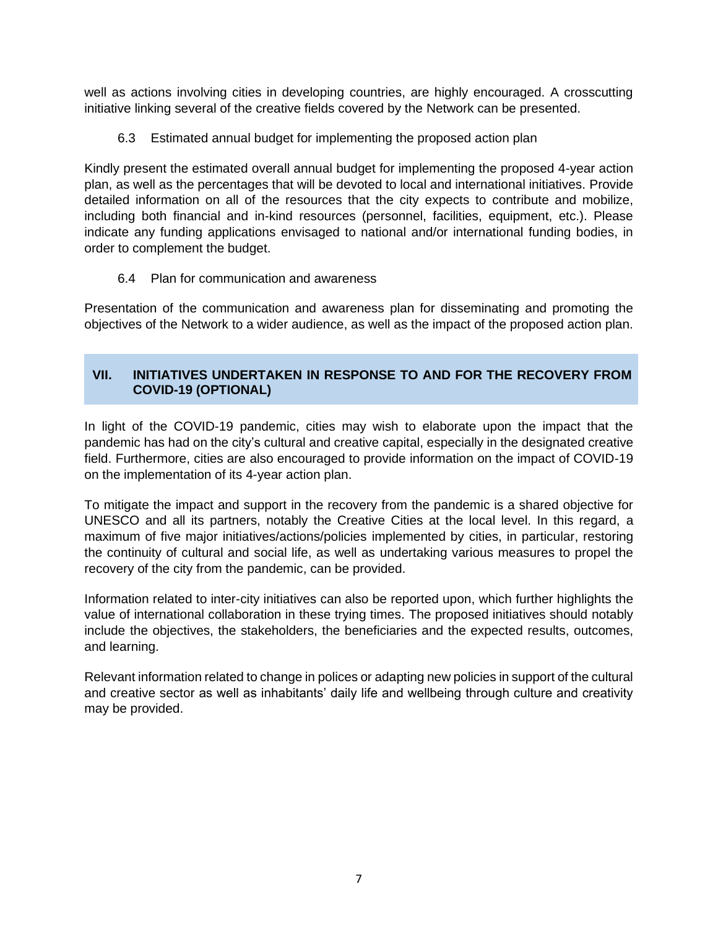well as actions involving cities in developing countries, are highly encouraged. A crosscutting initiative linking several of the creative fields covered by the Network can be presented.

6.3 Estimated annual budget for implementing the proposed action plan

Kindly present the estimated overall annual budget for implementing the proposed 4-year action plan, as well as the percentages that will be devoted to local and international initiatives. Provide detailed information on all of the resources that the city expects to contribute and mobilize, including both financial and in-kind resources (personnel, facilities, equipment, etc.). Please indicate any funding applications envisaged to national and/or international funding bodies, in order to complement the budget.

6.4 Plan for communication and awareness

Presentation of the communication and awareness plan for disseminating and promoting the objectives of the Network to a wider audience, as well as the impact of the proposed action plan.

#### **VII. INITIATIVES UNDERTAKEN IN RESPONSE TO AND FOR THE RECOVERY FROM COVID-19 (OPTIONAL)**

In light of the COVID-19 pandemic, cities may wish to elaborate upon the impact that the pandemic has had on the city's cultural and creative capital, especially in the designated creative field. Furthermore, cities are also encouraged to provide information on the impact of COVID-19 on the implementation of its 4-year action plan.

To mitigate the impact and support in the recovery from the pandemic is a shared objective for UNESCO and all its partners, notably the Creative Cities at the local level. In this regard, a maximum of five major initiatives/actions/policies implemented by cities, in particular, restoring the continuity of cultural and social life, as well as undertaking various measures to propel the recovery of the city from the pandemic, can be provided.

Information related to inter-city initiatives can also be reported upon, which further highlights the value of international collaboration in these trying times. The proposed initiatives should notably include the objectives, the stakeholders, the beneficiaries and the expected results, outcomes, and learning.

Relevant information related to change in polices or adapting new policies in support of the cultural and creative sector as well as inhabitants' daily life and wellbeing through culture and creativity may be provided.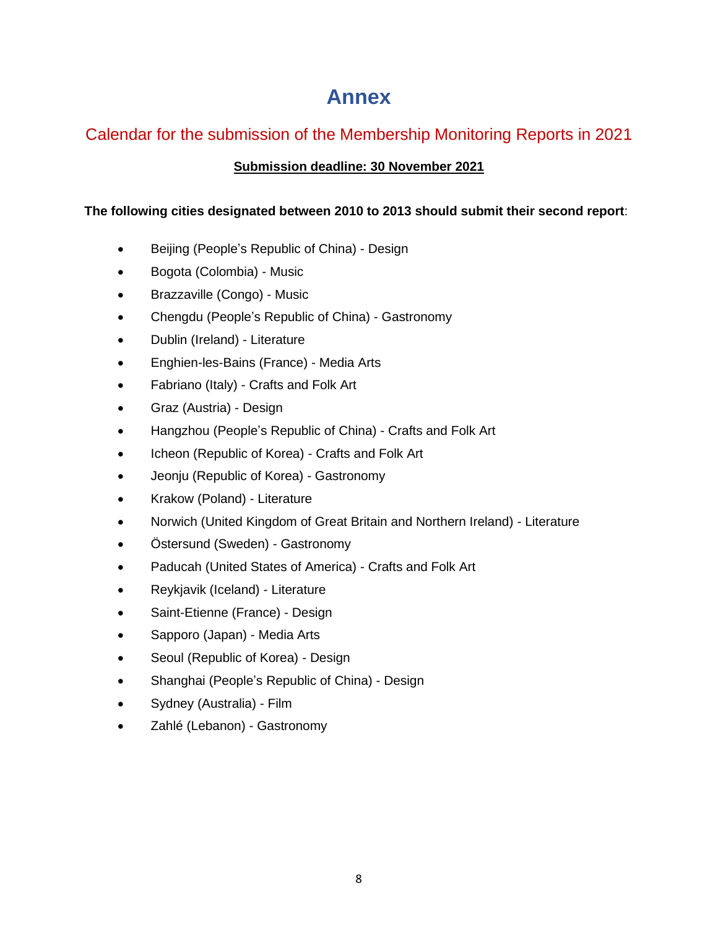## **Annex**

### Calendar for the submission of the Membership Monitoring Reports in 2021

#### **Submission deadline: 30 November 2021**

#### **The following cities designated between 2010 to 2013 should submit their second report**:

- Beijing (People's Republic of China) Design
- Bogota (Colombia) Music
- Brazzaville (Congo) Music
- Chengdu (People's Republic of China) Gastronomy
- Dublin (Ireland) Literature
- Enghien-les-Bains (France) Media Arts
- Fabriano (Italy) Crafts and Folk Art
- Graz (Austria) Design
- Hangzhou (People's Republic of China) Crafts and Folk Art
- Icheon (Republic of Korea) Crafts and Folk Art
- Jeonju (Republic of Korea) Gastronomy
- Krakow (Poland) Literature
- Norwich (United Kingdom of Great Britain and Northern Ireland) Literature
- Östersund (Sweden) Gastronomy
- Paducah (United States of America) Crafts and Folk Art
- Reykjavik (Iceland) Literature
- Saint-Etienne (France) Design
- Sapporo (Japan) Media Arts
- Seoul (Republic of Korea) Design
- Shanghai (People's Republic of China) Design
- Sydney (Australia) Film
- Zahlé (Lebanon) Gastronomy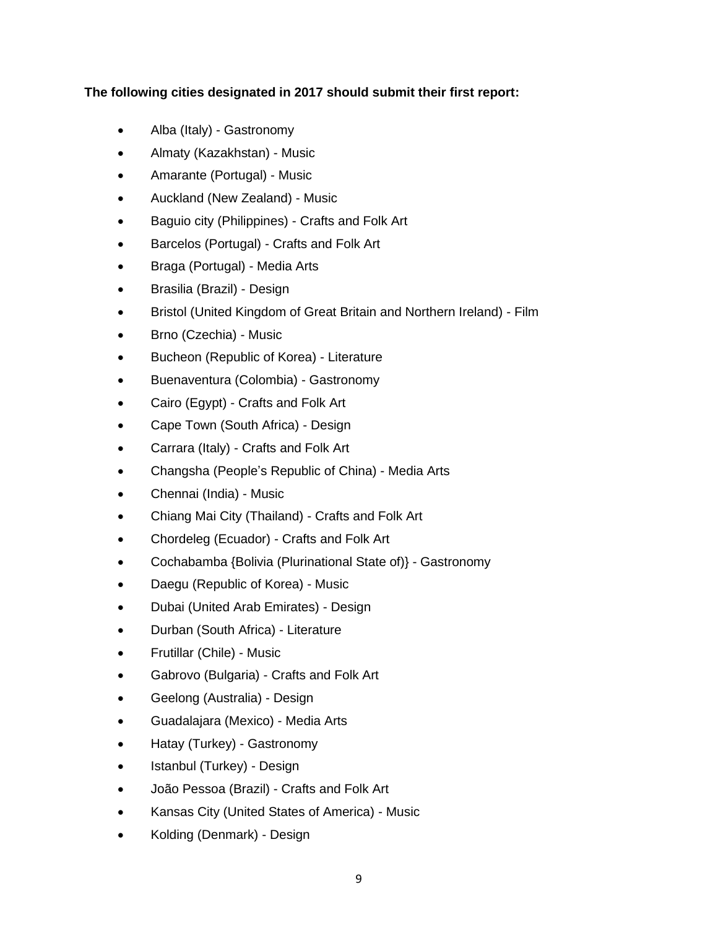#### **The following cities designated in 2017 should submit their first report:**

- Alba (Italy) Gastronomy
- Almaty (Kazakhstan) Music
- Amarante (Portugal) Music
- Auckland (New Zealand) Music
- Baguio city (Philippines) Crafts and Folk Art
- Barcelos (Portugal) Crafts and Folk Art
- Braga (Portugal) Media Arts
- Brasilia (Brazil) Design
- Bristol (United Kingdom of Great Britain and Northern Ireland) Film
- Brno (Czechia) Music
- Bucheon (Republic of Korea) Literature
- Buenaventura (Colombia) Gastronomy
- Cairo (Egypt) Crafts and Folk Art
- Cape Town (South Africa) Design
- Carrara (Italy) Crafts and Folk Art
- Changsha (People's Republic of China) Media Arts
- Chennai (India) Music
- Chiang Mai City (Thailand) Crafts and Folk Art
- Chordeleg (Ecuador) Crafts and Folk Art
- Cochabamba {Bolivia (Plurinational State of)} Gastronomy
- Daegu (Republic of Korea) Music
- Dubai (United Arab Emirates) Design
- Durban (South Africa) Literature
- Frutillar (Chile) Music
- Gabrovo (Bulgaria) Crafts and Folk Art
- Geelong (Australia) Design
- Guadalajara (Mexico) Media Arts
- Hatay (Turkey) Gastronomy
- Istanbul (Turkey) Design
- João Pessoa (Brazil) Crafts and Folk Art
- Kansas City (United States of America) Music
- Kolding (Denmark) Design